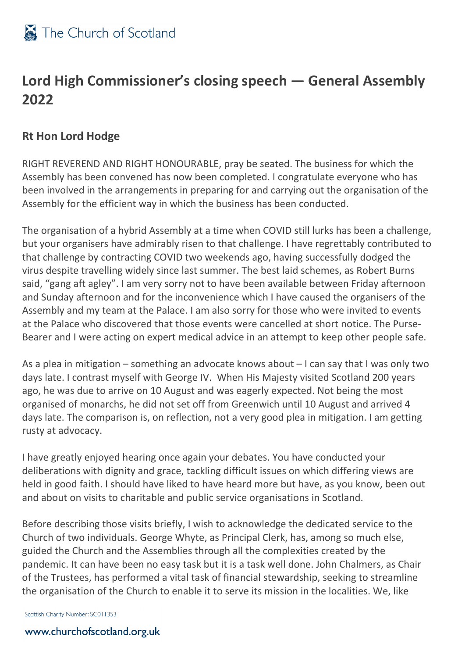

### **Lord High Commissioner's closing speech — General Assembly 2022**

### **Rt Hon Lord Hodge**

RIGHT REVEREND AND RIGHT HONOURABLE, pray be seated. The business for which the Assembly has been convened has now been completed. I congratulate everyone who has been involved in the arrangements in preparing for and carrying out the organisation of the Assembly for the efficient way in which the business has been conducted.

The organisation of a hybrid Assembly at a time when COVID still lurks has been a challenge, but your organisers have admirably risen to that challenge. I have regrettably contributed to that challenge by contracting COVID two weekends ago, having successfully dodged the virus despite travelling widely since last summer. The best laid schemes, as Robert Burns said, "gang aft agley". I am very sorry not to have been available between Friday afternoon and Sunday afternoon and for the inconvenience which I have caused the organisers of the Assembly and my team at the Palace. I am also sorry for those who were invited to events at the Palace who discovered that those events were cancelled at short notice. The Purse-Bearer and I were acting on expert medical advice in an attempt to keep other people safe.

As a plea in mitigation – something an advocate knows about – I can say that I was only two days late. I contrast myself with George IV. When His Majesty visited Scotland 200 years ago, he was due to arrive on 10 August and was eagerly expected. Not being the most organised of monarchs, he did not set off from Greenwich until 10 August and arrived 4 days late. The comparison is, on reflection, not a very good plea in mitigation. I am getting rusty at advocacy.

I have greatly enjoyed hearing once again your debates. You have conducted your deliberations with dignity and grace, tackling difficult issues on which differing views are held in good faith. I should have liked to have heard more but have, as you know, been out and about on visits to charitable and public service organisations in Scotland.

Before describing those visits briefly, I wish to acknowledge the dedicated service to the Church of two individuals. George Whyte, as Principal Clerk, has, among so much else, guided the Church and the Assemblies through all the complexities created by the pandemic. It can have been no easy task but it is a task well done. John Chalmers, as Chair of the Trustees, has performed a vital task of financial stewardship, seeking to streamline the organisation of the Church to enable it to serve its mission in the localities. We, like

Scottish Charity Number: SC011353

#### www.churchofscotland.org.uk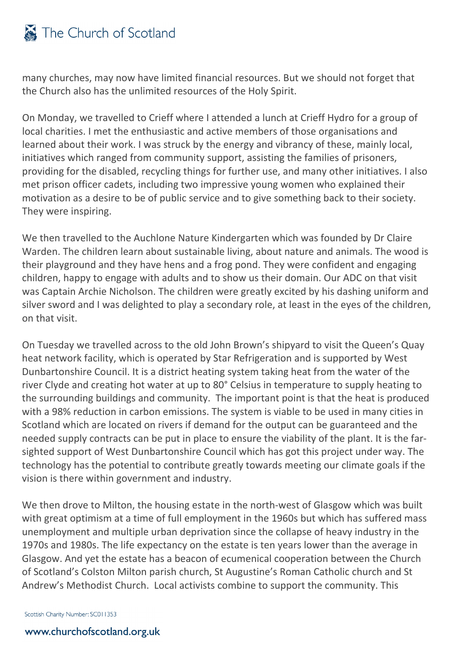# The Church of Scotland

many churches, may now have limited financial resources. But we should not forget that the Church also has the unlimited resources of the Holy Spirit.

On Monday, we travelled to Crieff where I attended a lunch at Crieff Hydro for a group of local charities. I met the enthusiastic and active members of those organisations and learned about their work. I was struck by the energy and vibrancy of these, mainly local, initiatives which ranged from community support, assisting the families of prisoners, providing for the disabled, recycling things for further use, and many other initiatives. I also met prison officer cadets, including two impressive young women who explained their motivation as a desire to be of public service and to give something back to their society. They were inspiring.

We then travelled to the Auchlone Nature Kindergarten which was founded by Dr Claire Warden. The children learn about sustainable living, about nature and animals. The wood is their playground and they have hens and a frog pond. They were confident and engaging children, happy to engage with adults and to show us their domain. Our ADC on that visit was Captain Archie Nicholson. The children were greatly excited by his dashing uniform and silver sword and I was delighted to play a secondary role, at least in the eyes of the children, on that visit.

On Tuesday we travelled across to the old John Brown's shipyard to visit the Queen's Quay heat network facility, which is operated by Star Refrigeration and is supported by West Dunbartonshire Council. It is a district heating system taking heat from the water of the river Clyde and creating hot water at up to 80° Celsius in temperature to supply heating to the surrounding buildings and community. The important point is that the heat is produced with a 98% reduction in carbon emissions. The system is viable to be used in many cities in Scotland which are located on rivers if demand for the output can be guaranteed and the needed supply contracts can be put in place to ensure the viability of the plant. It is the farsighted support of West Dunbartonshire Council which has got this project under way. The technology has the potential to contribute greatly towards meeting our climate goals if the vision is there within government and industry.

We then drove to Milton, the housing estate in the north-west of Glasgow which was built with great optimism at a time of full employment in the 1960s but which has suffered mass unemployment and multiple urban deprivation since the collapse of heavy industry in the 1970s and 1980s. The life expectancy on the estate is ten years lower than the average in Glasgow. And yet the estate has a beacon of ecumenical cooperation between the Church of Scotland's Colston Milton parish church, St Augustine's Roman Catholic church and St Andrew's Methodist Church. Local activists combine to support the community. This

Scottish Charity Number: SC011353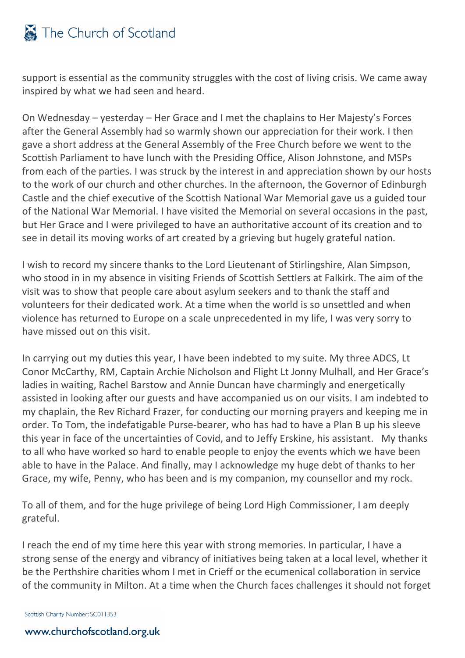# The Church of Scotland

support is essential as the community struggles with the cost of living crisis. We came away inspired by what we had seen and heard.

On Wednesday – yesterday – Her Grace and I met the chaplains to Her Majesty's Forces after the General Assembly had so warmly shown our appreciation for their work. I then gave a short address at the General Assembly of the Free Church before we went to the Scottish Parliament to have lunch with the Presiding Office, Alison Johnstone, and MSPs from each of the parties. I was struck by the interest in and appreciation shown by our hosts to the work of our church and other churches. In the afternoon, the Governor of Edinburgh Castle and the chief executive of the Scottish National War Memorial gave us a guided tour of the National War Memorial. I have visited the Memorial on several occasions in the past, but Her Grace and I were privileged to have an authoritative account of its creation and to see in detail its moving works of art created by a grieving but hugely grateful nation.

I wish to record my sincere thanks to the Lord Lieutenant of Stirlingshire, AIan Simpson, who stood in in my absence in visiting Friends of Scottish Settlers at Falkirk. The aim of the visit was to show that people care about asylum seekers and to thank the staff and volunteers for their dedicated work. At a time when the world is so unsettled and when violence has returned to Europe on a scale unprecedented in my life, I was very sorry to have missed out on this visit.

In carrying out my duties this year, I have been indebted to my suite. My three ADCS, Lt Conor McCarthy, RM, Captain Archie Nicholson and Flight Lt Jonny Mulhall, and Her Grace's ladies in waiting, Rachel Barstow and Annie Duncan have charmingly and energetically assisted in looking after our guests and have accompanied us on our visits. I am indebted to my chaplain, the Rev Richard Frazer, for conducting our morning prayers and keeping me in order. To Tom, the indefatigable Purse-bearer, who has had to have a Plan B up his sleeve this year in face of the uncertainties of Covid, and to Jeffy Erskine, his assistant. My thanks to all who have worked so hard to enable people to enjoy the events which we have been able to have in the Palace. And finally, may I acknowledge my huge debt of thanks to her Grace, my wife, Penny, who has been and is my companion, my counsellor and my rock.

To all of them, and for the huge privilege of being Lord High Commissioner, I am deeply grateful.

I reach the end of my time here this year with strong memories. In particular, I have a strong sense of the energy and vibrancy of initiatives being taken at a local level, whether it be the Perthshire charities whom I met in Crieff or the ecumenical collaboration in service of the community in Milton. At a time when the Church faces challenges it should not forget

Scottish Charity Number: SC011353